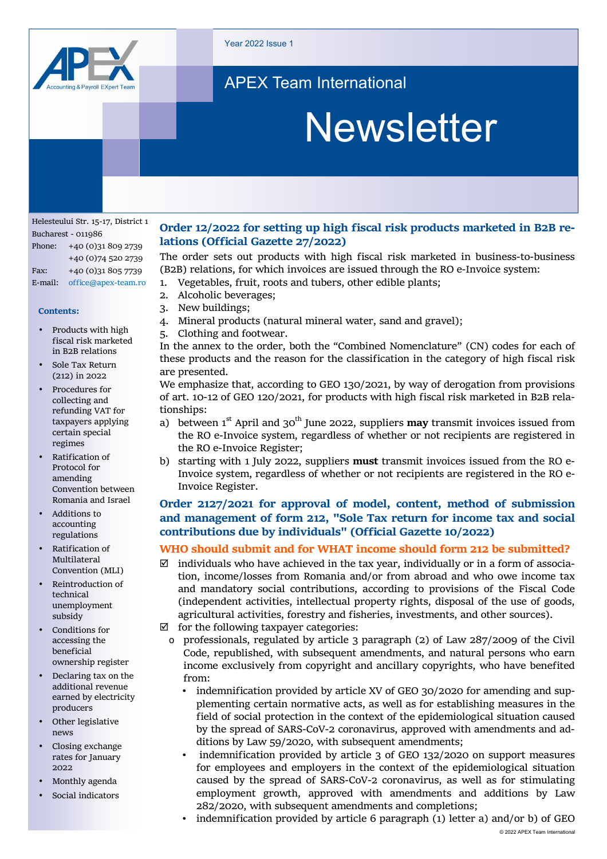

Year 2022 Issue 1

### APEX Team International

# **Newsletter**

Helesteului Str. 15-17, District 1 Bucharest - 011986 Phone: +40 (0)31 809 2739 +40 (0)74 520 2739 Fax: +40 (0)31 805 7739 E-mail: office@apex-team.ro

#### **Contents:**

- Products with high fiscal risk marketed in B2B relations
- Sole Tax Return (212) in 2022
- Procedures for collecting and refunding VAT for taxpayers applying certain special regimes
- Ratification of Protocol for amending Convention between Romania and Israel
- Additions to accounting regulations
- Ratification of Multilateral Convention (MLI)
- Reintroduction of technical unemployment subsidy
- Conditions for accessing the beneficial ownership register
- Declaring tax on the additional revenue earned by electricity producers
- Other legislative news
- Closing exchange rates for January 2022
- Monthly agenda
- Social indicators

#### **Order 12/2022 for setting up high fiscal risk products marketed in B2B re‐ lations (Official Gazette 27/2022)**

The order sets out products with high fiscal risk marketed in business-to-business (B2B) relations, for which invoices are issued through the RO e-Invoice system:

- 1. Vegetables, fruit, roots and tubers, other edible plants;
- 2. Alcoholic beverages;
- 3. New buildings;
- 4. Mineral products (natural mineral water, sand and gravel);
- 5. Clothing and footwear.

In the annex to the order, both the "Combined Nomenclature" (CN) codes for each of these products and the reason for the classification in the category of high fiscal risk are presented.

We emphasize that, according to GEO 130/2021, by way of derogation from provisions of art. 10-12 of GEO 120/2021, for products with high fiscal risk marketed in B2B relationships:

- a) between 1<sup>st</sup> April and 30<sup>th</sup> June 2022, suppliers **may** transmit invoices issued from the RO e-Invoice system, regardless of whether or not recipients are registered in the RO e-Invoice Register;
- b) starting with 1 July 2022, suppliers **must** transmit invoices issued from the RO e-Invoice system, regardless of whether or not recipients are registered in the RO e-Invoice Register.

#### **Order 2127/2021 for approval of model, content, method of submission and management of form 212, "Sole Tax return for income tax and social contributions due by individuals" (Official Gazette 10/2022)**

#### **WHO should submit and for WHAT income should form 212 be submitted?**

- $\boxtimes$  individuals who have achieved in the tax year, individually or in a form of association, income/losses from Romania and/or from abroad and who owe income tax and mandatory social contributions, according to provisions of the Fiscal Code (independent activities, intellectual property rights, disposal of the use of goods, agricultural activities, forestry and fisheries, investments, and other sources).
- $\boxtimes$  for the following taxpayer categories:
- ο professionals, regulated by article 3 paragraph (2) of Law 287/2009 of the Civil Code, republished, with subsequent amendments, and natural persons who earn income exclusively from copyright and ancillary copyrights, who have benefited from:
	- indemnification provided by article XV of GEO 30/2020 for amending and supplementing certain normative acts, as well as for establishing measures in the field of social protection in the context of the epidemiological situation caused by the spread of SARS-CoV-2 coronavirus, approved with amendments and additions by Law 59/2020, with subsequent amendments;
	- indemnification provided by article 3 of GEO 132/2020 on support measures for employees and employers in the context of the epidemiological situation caused by the spread of SARS-CoV-2 coronavirus, as well as for stimulating employment growth, approved with amendments and additions by Law 282/2020, with subsequent amendments and completions;
	- indemnification provided by article 6 paragraph (1) letter a) and/or b) of GEO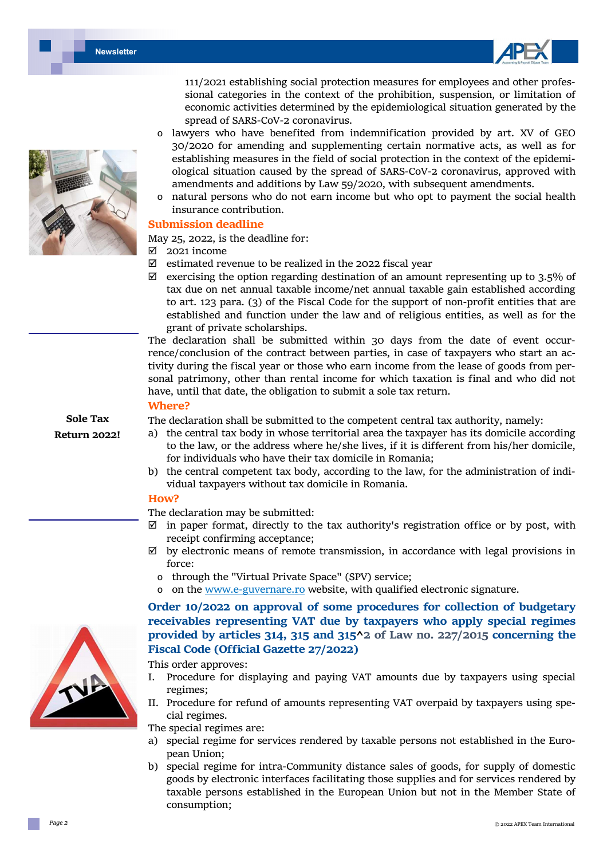



111/2021 establishing social protection measures for employees and other professional categories in the context of the prohibition, suspension, or limitation of economic activities determined by the epidemiological situation generated by the spread of SARS-CoV-2 coronavirus.

- ο lawyers who have benefited from indemnification provided by art. XV of GEO 30/2020 for amending and supplementing certain normative acts, as well as for establishing measures in the field of social protection in the context of the epidemiological situation caused by the spread of SARS-CoV-2 coronavirus, approved with amendments and additions by Law 59/2020, with subsequent amendments.
- ο natural persons who do not earn income but who opt to payment the social health insurance contribution.

#### **Submission deadline**

May 25, 2022, is the deadline for:

- 2021 income
- $\boxtimes$  estimated revenue to be realized in the 2022 fiscal year
- $\boxtimes$  exercising the option regarding destination of an amount representing up to 3.5% of tax due on net annual taxable income/net annual taxable gain established according to art. 123 para. (3) of the Fiscal Code for the support of non-profit entities that are established and function under the law and of religious entities, as well as for the grant of private scholarships.

The declaration shall be submitted within 30 days from the date of event occurrence/conclusion of the contract between parties, in case of taxpayers who start an activity during the fiscal year or those who earn income from the lease of goods from personal patrimony, other than rental income for which taxation is final and who did not have, until that date, the obligation to submit a sole tax return.

#### **Where?**

The declaration shall be submitted to the competent central tax authority, namely:

- a) the central tax body in whose territorial area the taxpayer has its domicile according to the law, or the address where he/she lives, if it is different from his/her domicile, for individuals who have their tax domicile in Romania;
- b) the central competent tax body, according to the law, for the administration of individual taxpayers without tax domicile in Romania.

#### **How?**

The declaration may be submitted:

- $\boxtimes$  in paper format, directly to the tax authority's registration office or by post, with receipt confirming acceptance;
- $\boxtimes$  by electronic means of remote transmission, in accordance with legal provisions in force:
	- ο through the "Virtual Private Space" (SPV) service;
	- ο on the www.e-guvernare.ro website, with qualified electronic signature.

#### **Order 10/2022 on approval of some procedures for collection of budgetary receivables representing VAT due by taxpayers who apply special regimes provided by articles 314, 315 and 315^2 of Law no. 227/2015 concerning the Fiscal Code (Official Gazette 27/2022)**

This order approves:

- I. Procedure for displaying and paying VAT amounts due by taxpayers using special regimes;
- II. Procedure for refund of amounts representing VAT overpaid by taxpayers using special regimes.

The special regimes are:

- a) special regime for services rendered by taxable persons not established in the European Union;
- b) special regime for intra-Community distance sales of goods, for supply of domestic goods by electronic interfaces facilitating those supplies and for services rendered by taxable persons established in the European Union but not in the Member State of consumption;





**Sole Tax Return 2022!**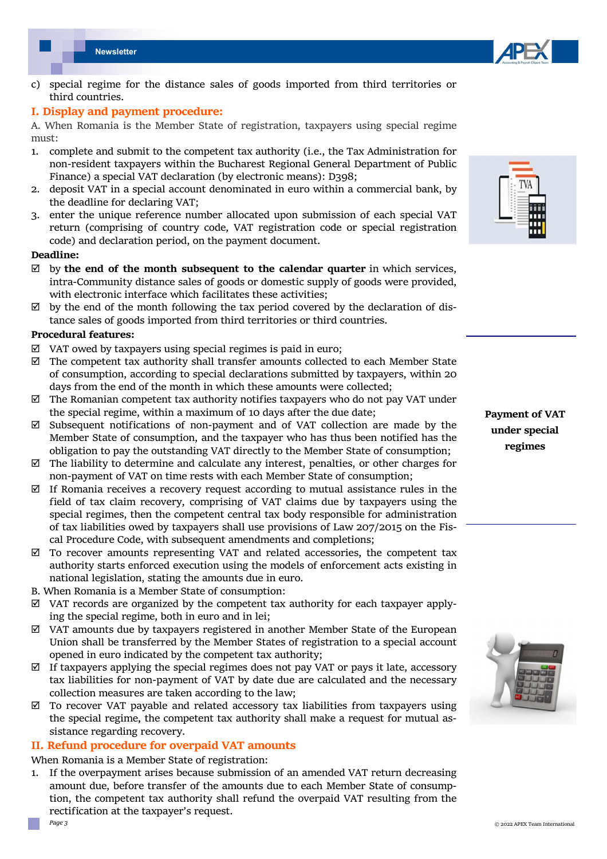

c) special regime for the distance sales of goods imported from third territories or third countries.

#### **I. Display and payment procedure:**

A. When Romania is the Member State of registration, taxpayers using special regime must:

- 1. complete and submit to the competent tax authority (i.e., the Tax Administration for non-resident taxpayers within the Bucharest Regional General Department of Public Finance) a special VAT declaration (by electronic means): D398;
- 2. deposit VAT in a special account denominated in euro within a commercial bank, by the deadline for declaring VAT;
- 3. enter the unique reference number allocated upon submission of each special VAT return (comprising of country code, VAT registration code or special registration code) and declaration period, on the payment document.

#### **Deadline:**

- $\boxtimes$  by the end of the month subsequent to the calendar quarter in which services, intra-Community distance sales of goods or domestic supply of goods were provided, with electronic interface which facilitates these activities;
- $\boxtimes$  by the end of the month following the tax period covered by the declaration of distance sales of goods imported from third territories or third countries.

#### **Procedural features:**

- $\boxtimes$  VAT owed by taxpayers using special regimes is paid in euro;
- $\boxtimes$  The competent tax authority shall transfer amounts collected to each Member State of consumption, according to special declarations submitted by taxpayers, within 20 days from the end of the month in which these amounts were collected;
- $\boxtimes$  The Romanian competent tax authority notifies taxpayers who do not pay VAT under the special regime, within a maximum of 10 days after the due date;
- $\boxtimes$  Subsequent notifications of non-payment and of VAT collection are made by the Member State of consumption, and the taxpayer who has thus been notified has the obligation to pay the outstanding VAT directly to the Member State of consumption;
- $\boxtimes$  The liability to determine and calculate any interest, penalties, or other charges for non-payment of VAT on time rests with each Member State of consumption;
- $\boxtimes$  If Romania receives a recovery request according to mutual assistance rules in the field of tax claim recovery, comprising of VAT claims due by taxpayers using the special regimes, then the competent central tax body responsible for administration of tax liabilities owed by taxpayers shall use provisions of Law 207/2015 on the Fiscal Procedure Code, with subsequent amendments and completions;
- $\boxtimes$  To recover amounts representing VAT and related accessories, the competent tax authority starts enforced execution using the models of enforcement acts existing in national legislation, stating the amounts due in euro.
- B. When Romania is a Member State of consumption:
- $\boxtimes$  VAT records are organized by the competent tax authority for each taxpayer applying the special regime, both in euro and in lei;
- $\boxtimes$  VAT amounts due by taxpayers registered in another Member State of the European Union shall be transferred by the Member States of registration to a special account opened in euro indicated by the competent tax authority;
- $\boxtimes$  If taxpayers applying the special regimes does not pay VAT or pays it late, accessory tax liabilities for non-payment of VAT by date due are calculated and the necessary collection measures are taken according to the law;
- $\boxtimes$  To recover VAT payable and related accessory tax liabilities from taxpayers using the special regime, the competent tax authority shall make a request for mutual assistance regarding recovery.

#### **II. Refund procedure for overpaid VAT amounts**

When Romania is a Member State of registration:

1. If the overpayment arises because submission of an amended VAT return decreasing amount due, before transfer of the amounts due to each Member State of consumption, the competent tax authority shall refund the overpaid VAT resulting from the rectification at the taxpayer's request.



**Payment of VAT under special regimes** 



*Page 3*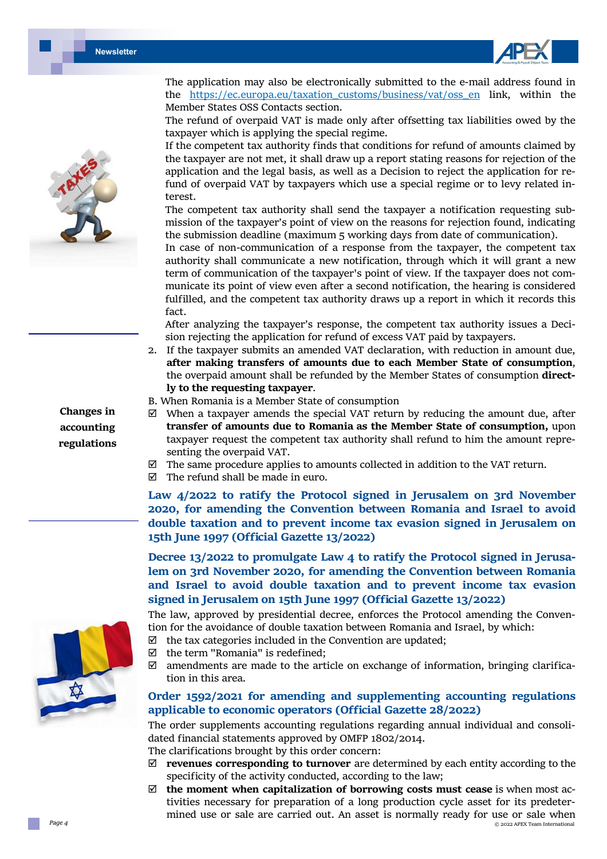



**Changes in accounting regulations** 



The refund of overpaid VAT is made only after offsetting tax liabilities owed by the taxpayer which is applying the special regime.

If the competent tax authority finds that conditions for refund of amounts claimed by the taxpayer are not met, it shall draw up a report stating reasons for rejection of the application and the legal basis, as well as a Decision to reject the application for refund of overpaid VAT by taxpayers which use a special regime or to levy related interest.

The competent tax authority shall send the taxpayer a notification requesting submission of the taxpayer's point of view on the reasons for rejection found, indicating the submission deadline (maximum 5 working days from date of communication).

In case of non-communication of a response from the taxpayer, the competent tax authority shall communicate a new notification, through which it will grant a new term of communication of the taxpayer's point of view. If the taxpayer does not communicate its point of view even after a second notification, the hearing is considered fulfilled, and the competent tax authority draws up a report in which it records this fact.

After analyzing the taxpayer's response, the competent tax authority issues a Decision rejecting the application for refund of excess VAT paid by taxpayers.

- 2. If the taxpayer submits an amended VAT declaration, with reduction in amount due, **after making transfers of amounts due to each Member State of consumption**, the overpaid amount shall be refunded by the Member States of consumption **direct‐ ly to the requesting taxpayer**.
- B. When Romania is a Member State of consumption
- $\boxtimes$  When a taxpayer amends the special VAT return by reducing the amount due, after **transfer of amounts due to Romania as the Member State of consumption,** upon taxpayer request the competent tax authority shall refund to him the amount representing the overpaid VAT.
- $\boxtimes$  The same procedure applies to amounts collected in addition to the VAT return.
- $\boxtimes$  The refund shall be made in euro.

**Law 4/2022 to ratify the Protocol signed in Jerusalem on 3rd November 2020, for amending the Convention between Romania and Israel to avoid double taxation and to prevent income tax evasion signed in Jerusalem on 15th June 1997 (Official Gazette 13/2022)** 

**Decree 13/2022 to promulgate Law 4 to ratify the Protocol signed in Jerusa‐ lem on 3rd November 2020, for amending the Convention between Romania and Israel to avoid double taxation and to prevent income tax evasion signed in Jerusalem on 15th June 1997 (Official Gazette 13/2022)** 

The law, approved by presidential decree, enforces the Protocol amending the Convention for the avoidance of double taxation between Romania and Israel, by which:

- $\boxtimes$  the tax categories included in the Convention are updated;
- $\boxtimes$  the term "Romania" is redefined;
- $\boxtimes$  amendments are made to the article on exchange of information, bringing clarification in this area.

#### **Order 1592/2021 for amending and supplementing accounting regulations applicable to economic operators (Official Gazette 28/2022)**

The order supplements accounting regulations regarding annual individual and consolidated financial statements approved by OMFP 1802/2014.

The clarifications brought by this order concern:

- **revenues corresponding to turnover** are determined by each entity according to the specificity of the activity conducted, according to the law;
- © 2022 APEX Team International **the moment when capitalization of borrowing costs must cease** is when most activities necessary for preparation of a long production cycle asset for its predetermined use or sale are carried out. An asset is normally ready for use or sale when

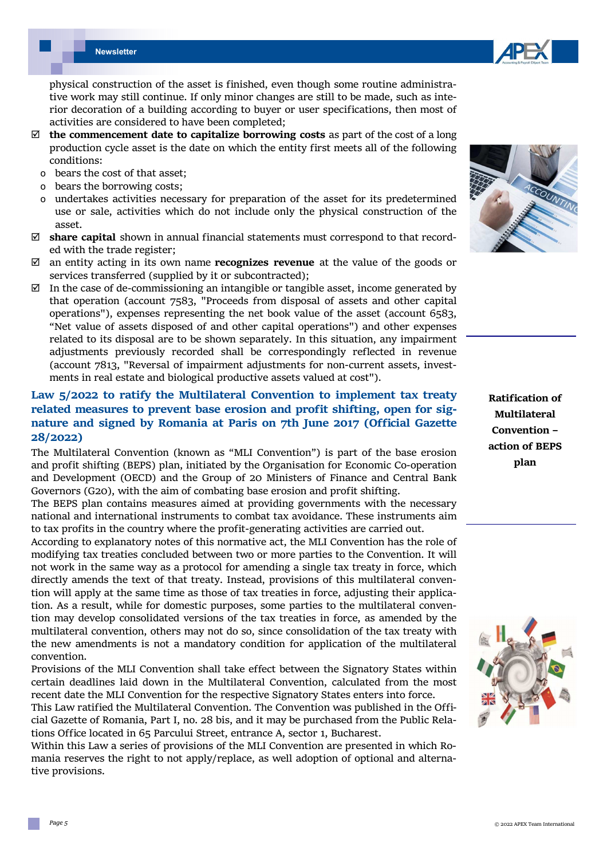*Page 5* 

**Newsletter**

physical construction of the asset is finished, even though some routine administrative work may still continue. If only minor changes are still to be made, such as interior decoration of a building according to buyer or user specifications, then most of activities are considered to have been completed;

- $\boxtimes$  **the commencement date to capitalize borrowing costs** as part of the cost of a long production cycle asset is the date on which the entity first meets all of the following conditions:
	- ο bears the cost of that asset;
	- ο bears the borrowing costs;
	- undertakes activities necessary for preparation of the asset for its predetermined use or sale, activities which do not include only the physical construction of the asset.
- **share capital** shown in annual financial statements must correspond to that recorded with the trade register;
- an entity acting in its own name **recognizes revenue** at the value of the goods or services transferred (supplied by it or subcontracted);
- $\boxtimes$  In the case of de-commissioning an intangible or tangible asset, income generated by that operation (account 7583, "Proceeds from disposal of assets and other capital operations"), expenses representing the net book value of the asset (account 6583, "Net value of assets disposed of and other capital operations") and other expenses related to its disposal are to be shown separately. In this situation, any impairment adjustments previously recorded shall be correspondingly reflected in revenue (account 7813, "Reversal of impairment adjustments for non-current assets, investments in real estate and biological productive assets valued at cost").

#### **Law 5/2022 to ratify the Multilateral Convention to implement tax treaty related measures to prevent base erosion and profit shifting, open for sig‐ nature and signed by Romania at Paris on 7th June 2017 (Official Gazette 28/2022)**

The Multilateral Convention (known as "MLI Convention") is part of the base erosion and profit shifting (BEPS) plan, initiated by the Organisation for Economic Co-operation and Development (OECD) and the Group of 20 Ministers of Finance and Central Bank Governors (G20), with the aim of combating base erosion and profit shifting.

The BEPS plan contains measures aimed at providing governments with the necessary national and international instruments to combat tax avoidance. These instruments aim to tax profits in the country where the profit-generating activities are carried out.

According to explanatory notes of this normative act, the MLI Convention has the role of modifying tax treaties concluded between two or more parties to the Convention. It will not work in the same way as a protocol for amending a single tax treaty in force, which directly amends the text of that treaty. Instead, provisions of this multilateral convention will apply at the same time as those of tax treaties in force, adjusting their application. As a result, while for domestic purposes, some parties to the multilateral convention may develop consolidated versions of the tax treaties in force, as amended by the multilateral convention, others may not do so, since consolidation of the tax treaty with the new amendments is not a mandatory condition for application of the multilateral convention.

Provisions of the MLI Convention shall take effect between the Signatory States within certain deadlines laid down in the Multilateral Convention, calculated from the most recent date the MLI Convention for the respective Signatory States enters into force.

This Law ratified the Multilateral Convention. The Convention was published in the Official Gazette of Romania, Part I, no. 28 bis, and it may be purchased from the Public Relations Office located in 65 Parcului Street, entrance A, sector 1, Bucharest.

Within this Law a series of provisions of the MLI Convention are presented in which Romania reserves the right to not apply/replace, as well adoption of optional and alternative provisions.

**Ratification of Multilateral Convention – action of BEPS plan** 



© 2022 APEX Team International



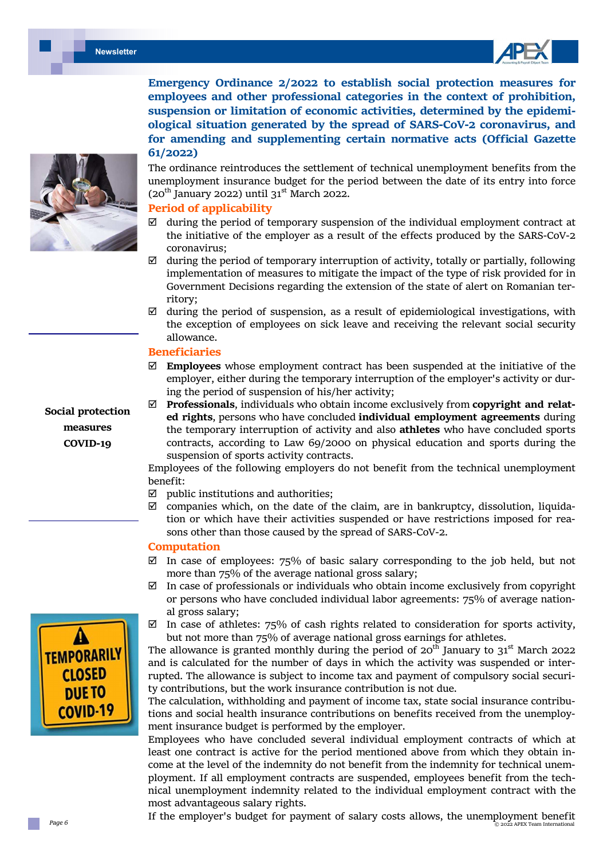



**Emergency Ordinance 2/2022 to establish social protection measures for employees and other professional categories in the context of prohibition, suspension or limitation of economic activities, determined by the epidemi‐ ological situation generated by the spread of SARS‐CoV‐2 coronavirus, and for amending and supplementing certain normative acts (Official Gazette 61/2022)** 

The ordinance reintroduces the settlement of technical unemployment benefits from the unemployment insurance budget for the period between the date of its entry into force (20<sup>th</sup> January 2022) until  $31<sup>st</sup>$  March 2022.

#### **Period of applicability**

- $\boxtimes$  during the period of temporary suspension of the individual employment contract at the initiative of the employer as a result of the effects produced by the SARS-CoV-2 coronavirus;
- $\boxtimes$  during the period of temporary interruption of activity, totally or partially, following implementation of measures to mitigate the impact of the type of risk provided for in Government Decisions regarding the extension of the state of alert on Romanian territory;
- $\boxtimes$  during the period of suspension, as a result of epidemiological investigations, with the exception of employees on sick leave and receiving the relevant social security allowance.

#### **Beneficiaries**

- **Employees** whose employment contract has been suspended at the initiative of the employer, either during the temporary interruption of the employer's activity or during the period of suspension of his/her activity;
- **Professionals**, individuals who obtain income exclusively from **copyright and relat‐ ed rights**, persons who have concluded **individual employment agreements** during the temporary interruption of activity and also **athletes** who have concluded sports contracts, according to Law 69/2000 on physical education and sports during the suspension of sports activity contracts.

Employees of the following employers do not benefit from the technical unemployment benefit:

- $\boxtimes$  public institutions and authorities;
- $\boxtimes$  companies which, on the date of the claim, are in bankruptcy, dissolution, liquidation or which have their activities suspended or have restrictions imposed for reasons other than those caused by the spread of SARS-CoV-2.

#### **Computation**

- $\boxtimes$  In case of employees: 75% of basic salary corresponding to the job held, but not more than 75% of the average national gross salary;
- $\boxtimes$  In case of professionals or individuals who obtain income exclusively from copyright or persons who have concluded individual labor agreements: 75% of average national gross salary;
- $\boxtimes$  In case of athletes: 75% of cash rights related to consideration for sports activity, but not more than 75% of average national gross earnings for athletes.

The allowance is granted monthly during the period of  $20^{th}$  January to  $31^{st}$  March 2022 and is calculated for the number of days in which the activity was suspended or interrupted. The allowance is subject to income tax and payment of compulsory social security contributions, but the work insurance contribution is not due.

The calculation, withholding and payment of income tax, state social insurance contributions and social health insurance contributions on benefits received from the unemployment insurance budget is performed by the employer.

Employees who have concluded several individual employment contracts of which at least one contract is active for the period mentioned above from which they obtain income at the level of the indemnity do not benefit from the indemnity for technical unemployment. If all employment contracts are suspended, employees benefit from the technical unemployment indemnity related to the individual employment contract with the most advantageous salary rights.

 © 2022 APEX Team International If the employer's budget for payment of salary costs allows, the unemployment benefit



**Social protection measures COVID‐19** 

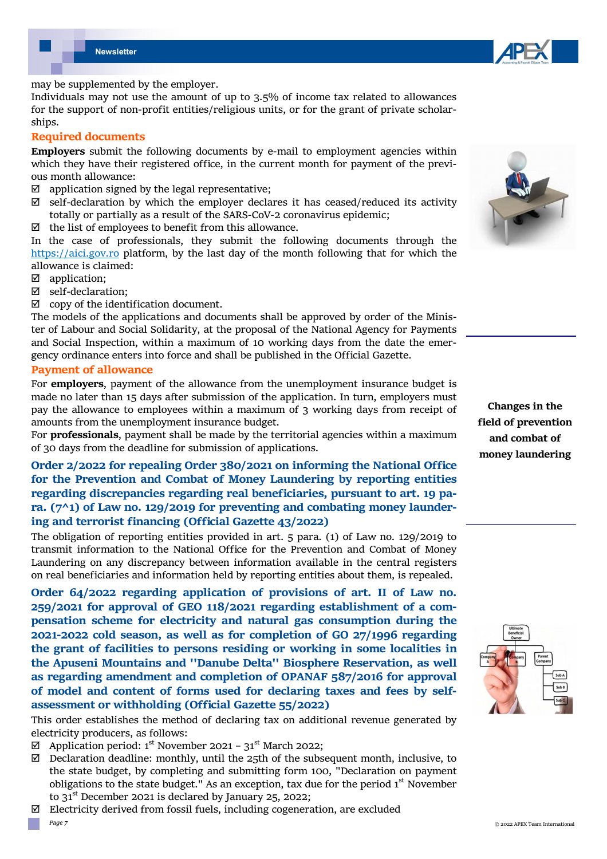



may be supplemented by the employer.

Individuals may not use the amount of up to 3.5% of income tax related to allowances for the support of non-profit entities/religious units, or for the grant of private scholarships.

#### **Required documents**

**Employers** submit the following documents by e-mail to employment agencies within which they have their registered office, in the current month for payment of the previous month allowance:

- $\boxtimes$  application signed by the legal representative;
- $\boxtimes$  self-declaration by which the employer declares it has ceased/reduced its activity totally or partially as a result of the SARS-CoV-2 coronavirus epidemic;
- $\boxtimes$  the list of employees to benefit from this allowance.

In the case of professionals, they submit the following documents through the https://aici.gov.ro platform, by the last day of the month following that for which the allowance is claimed:

- application;
- $\boxtimes$  self-declaration;
- $\boxtimes$  copy of the identification document.

The models of the applications and documents shall be approved by order of the Minister of Labour and Social Solidarity, at the proposal of the National Agency for Payments and Social Inspection, within a maximum of 10 working days from the date the emergency ordinance enters into force and shall be published in the Official Gazette.

#### **Payment of allowance**

For **employers**, payment of the allowance from the unemployment insurance budget is made no later than 15 days after submission of the application. In turn, employers must pay the allowance to employees within a maximum of 3 working days from receipt of amounts from the unemployment insurance budget.

For **professionals**, payment shall be made by the territorial agencies within a maximum of 30 days from the deadline for submission of applications.

#### **Order 2/2022 for repealing Order 380/2021 on informing the National Office for the Prevention and Combat of Money Laundering by reporting entities regarding discrepancies regarding real beneficiaries, pursuant to art. 19 pa‐ ra. (7^1) of Law no. 129/2019 for preventing and combating money launder‐ ing and terrorist financing (Official Gazette 43/2022)**

The obligation of reporting entities provided in art. 5 para. (1) of Law no. 129/2019 to transmit information to the National Office for the Prevention and Combat of Money Laundering on any discrepancy between information available in the central registers on real beneficiaries and information held by reporting entities about them, is repealed.

**Order 64/2022 regarding application of provisions of art. II of Law no. 259/2021 for approval of GEO 118/2021 regarding establishment of a com‐ pensation scheme for electricity and natural gas consumption during the 2021‐2022 cold season, as well as for completion of GO 27/1996 regarding the grant of facilities to persons residing or working in some localities in the Apuseni Mountains and ''Danube Delta'' Biosphere Reservation, as well as regarding amendment and completion of OPANAF 587/2016 for approval of model and content of forms used for declaring taxes and fees by self‐ assessment or withholding (Official Gazette 55/2022)** 

This order establishes the method of declaring tax on additional revenue generated by electricity producers, as follows:

- $\boxtimes$  Application period: 1<sup>st</sup> November 2021 31<sup>st</sup> March 2022;
- $\boxtimes$  Declaration deadline: monthly, until the 25th of the subsequent month, inclusive, to the state budget, by completing and submitting form 100, "Declaration on payment obligations to the state budget." As an exception, tax due for the period  $1<sup>st</sup>$  November to  $31<sup>st</sup>$  December 2021 is declared by January 25, 2022;
- *Page 7*   $\boxtimes$  Electricity derived from fossil fuels, including cogeneration, are excluded



**Changes in the field of prevention and combat of money laundering** 

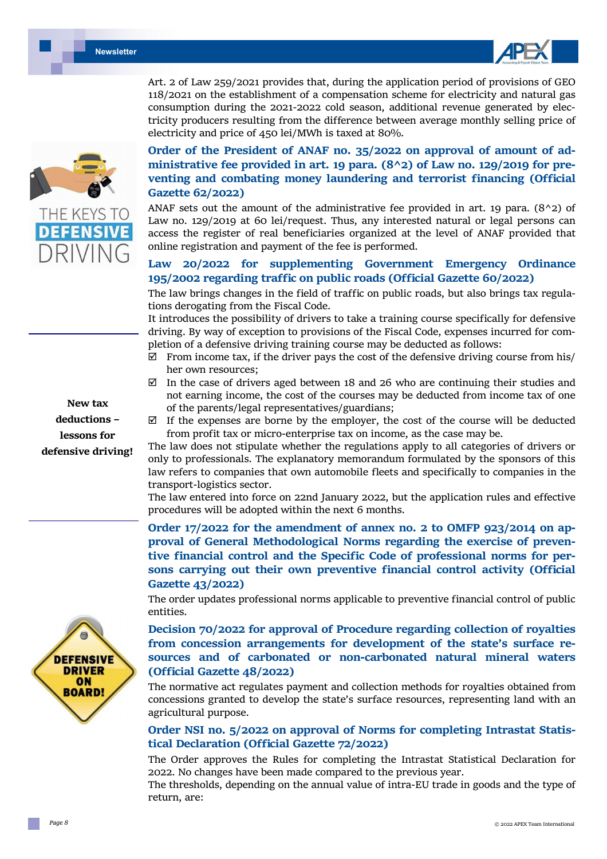



Art. 2 of Law 259/2021 provides that, during the application period of provisions of GEO 118/2021 on the establishment of a compensation scheme for electricity and natural gas consumption during the 2021-2022 cold season, additional revenue generated by electricity producers resulting from the difference between average monthly selling price of electricity and price of 450 lei/MWh is taxed at 80%.

**New tax deductions – lessons for defensive driving!** 



**Order of the President of ANAF no. 35/2022 on approval of amount of ad‐ ministrative fee provided in art. 19 para. (8^2) of Law no. 129/2019 for pre‐ venting and combating money laundering and terrorist financing (Official Gazette 62/2022)** 

ANAF sets out the amount of the administrative fee provided in art. 19 para.  $(8^2 2)$  of Law no. 129/2019 at 60 lei/request. Thus, any interested natural or legal persons can access the register of real beneficiaries organized at the level of ANAF provided that online registration and payment of the fee is performed.

#### **Law 20/2022 for supplementing Government Emergency Ordinance 195/2002 regarding traffic on public roads (Official Gazette 60/2022)**

The law brings changes in the field of traffic on public roads, but also brings tax regulations derogating from the Fiscal Code.

It introduces the possibility of drivers to take a training course specifically for defensive driving. By way of exception to provisions of the Fiscal Code, expenses incurred for completion of a defensive driving training course may be deducted as follows:

- $\boxtimes$  From income tax, if the driver pays the cost of the defensive driving course from his/ her own resources;
- $\boxtimes$  In the case of drivers aged between 18 and 26 who are continuing their studies and not earning income, the cost of the courses may be deducted from income tax of one of the parents/legal representatives/guardians;
- $\boxtimes$  If the expenses are borne by the employer, the cost of the course will be deducted from profit tax or micro-enterprise tax on income, as the case may be.

The law does not stipulate whether the regulations apply to all categories of drivers or only to professionals. The explanatory memorandum formulated by the sponsors of this law refers to companies that own automobile fleets and specifically to companies in the transport-logistics sector.

The law entered into force on 22nd January 2022, but the application rules and effective procedures will be adopted within the next 6 months.

**Order 17/2022 for the amendment of annex no. 2 to OMFP 923/2014 on ap‐ proval of General Methodological Norms regarding the exercise of preven‐ tive financial control and the Specific Code of professional norms for per‐ sons carrying out their own preventive financial control activity (Official Gazette 43/2022)** 

The order updates professional norms applicable to preventive financial control of public entities.

**Decision 70/2022 for approval of Procedure regarding collection of royalties from concession arrangements for development of the state's surface re‐ sources and of carbonated or non‐carbonated natural mineral waters (Official Gazette 48/2022)** 

The normative act regulates payment and collection methods for royalties obtained from concessions granted to develop the state's surface resources, representing land with an agricultural purpose.

#### **Order NSI no. 5/2022 on approval of Norms for completing Intrastat Statis‐ tical Declaration (Official Gazette 72/2022)**

The Order approves the Rules for completing the Intrastat Statistical Declaration for 2022. No changes have been made compared to the previous year.

The thresholds, depending on the annual value of intra-EU trade in goods and the type of return, are: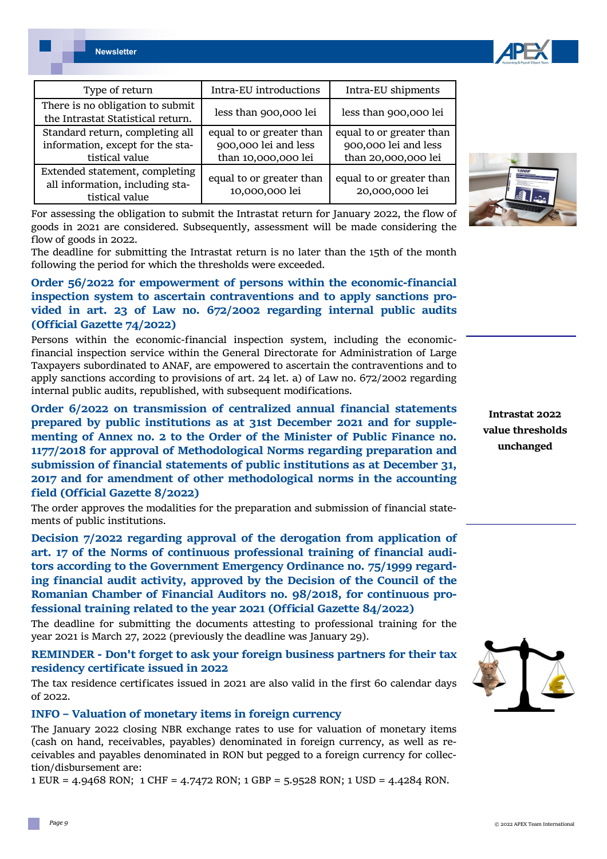| Type of return                                                                        | Intra-EU introductions                                                  | Intra-EU shipments                                                      |
|---------------------------------------------------------------------------------------|-------------------------------------------------------------------------|-------------------------------------------------------------------------|
| There is no obligation to submit<br>the Intrastat Statistical return.                 | less than 900,000 lei                                                   | less than 900,000 lei                                                   |
| Standard return, completing all<br>information, except for the sta-<br>tistical value | equal to or greater than<br>900,000 lei and less<br>than 10,000,000 lei | equal to or greater than<br>900,000 lei and less<br>than 20,000,000 lei |
| Extended statement, completing<br>all information, including sta-<br>tistical value   | equal to or greater than<br>10,000,000 lei                              | equal to or greater than<br>20,000,000 lei                              |

For assessing the obligation to submit the Intrastat return for January 2022, the flow of goods in 2021 are considered. Subsequently, assessment will be made considering the flow of goods in 2022.

The deadline for submitting the Intrastat return is no later than the 15th of the month following the period for which the thresholds were exceeded.

#### **Order 56/2022 for empowerment of persons within the economic‐financial inspection system to ascertain contraventions and to apply sanctions pro‐ vided in art. 23 of Law no. 672/2002 regarding internal public audits (Official Gazette 74/2022)**

Persons within the economic-financial inspection system, including the economicfinancial inspection service within the General Directorate for Administration of Large Taxpayers subordinated to ANAF, are empowered to ascertain the contraventions and to apply sanctions according to provisions of art. 24 let. a) of Law no. 672/2002 regarding internal public audits, republished, with subsequent modifications.

**Order 6/2022 on transmission of centralized annual financial statements prepared by public institutions as at 31st December 2021 and for supple‐ menting of Annex no. 2 to the Order of the Minister of Public Finance no. 1177/2018 for approval of Methodological Norms regarding preparation and submission of financial statements of public institutions as at December 31, 2017 and for amendment of other methodological norms in the accounting field (Official Gazette 8/2022)** 

The order approves the modalities for the preparation and submission of financial statements of public institutions.

**Decision 7/2022 regarding approval of the derogation from application of art. 17 of the Norms of continuous professional training of financial audi‐ tors according to the Government Emergency Ordinance no. 75/1999 regard‐ ing financial audit activity, approved by the Decision of the Council of the Romanian Chamber of Financial Auditors no. 98/2018, for continuous pro‐ fessional training related to the year 2021 (Official Gazette 84/2022)** 

The deadline for submitting the documents attesting to professional training for the year 2021 is March 27, 2022 (previously the deadline was January 29).

**REMINDER ‐ Don't forget to ask your foreign business partners for their tax residency certificate issued in 2022** 

The tax residence certificates issued in 2021 are also valid in the first 60 calendar days of 2022.

#### **INFO – Valuation of monetary items in foreign currency**

The January 2022 closing NBR exchange rates to use for valuation of monetary items (cash on hand, receivables, payables) denominated in foreign currency, as well as receivables and payables denominated in RON but pegged to a foreign currency for collection/disbursement are:

1 EUR = 4.9468 RON; 1 CHF = 4.7472 RON; 1 GBP = 5.9528 RON; 1 USD = 4.4284 RON.



**Intrastat 2022 value thresholds unchanged** 





*Page 9*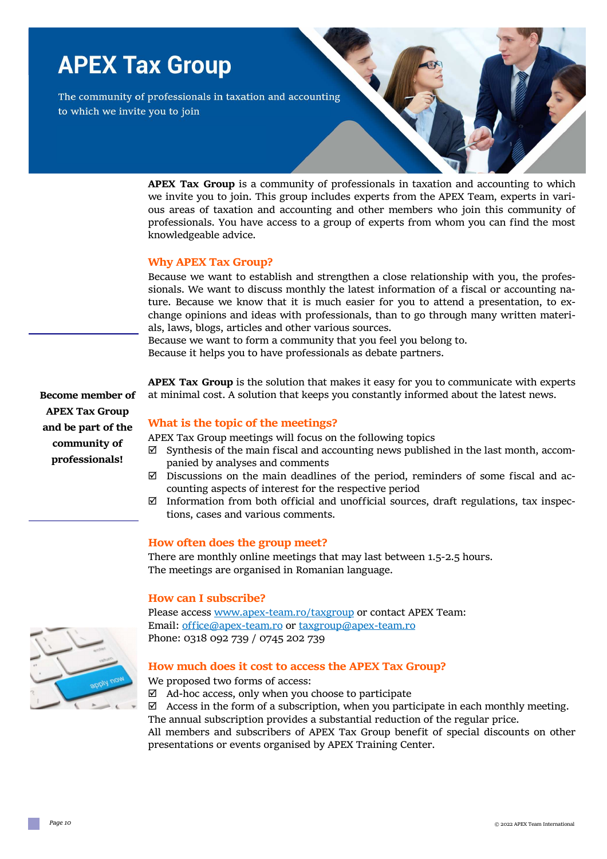## **APEX Tax Group**

The community of professionals in taxation and accounting to which we invite you to join

> **APEX Tax Group** is a community of professionals in taxation and accounting to which we invite you to join. This group includes experts from the APEX Team, experts in various areas of taxation and accounting and other members who join this community of professionals. You have access to a group of experts from whom you can find the most knowledgeable advice.

#### **Why APEX Tax Group?**

Because we want to establish and strengthen a close relationship with you, the professionals. We want to discuss monthly the latest information of a fiscal or accounting nature. Because we know that it is much easier for you to attend a presentation, to exchange opinions and ideas with professionals, than to go through many written materials, laws, blogs, articles and other various sources.

Because we want to form a community that you feel you belong to. Because it helps you to have professionals as debate partners.

**APEX Tax Group** is the solution that makes it easy for you to communicate with experts at minimal cost. A solution that keeps you constantly informed about the latest news.

#### **What is the topic of the meetings?**

APEX Tax Group meetings will focus on the following topics

- $\boxtimes$  Synthesis of the main fiscal and accounting news published in the last month, accompanied by analyses and comments
- $\boxtimes$  Discussions on the main deadlines of the period, reminders of some fiscal and accounting aspects of interest for the respective period
- $\boxtimes$  Information from both official and unofficial sources, draft regulations, tax inspections, cases and various comments.

#### **How often does the group meet?**

There are monthly online meetings that may last between 1.5-2.5 hours. The meetings are organised in Romanian language.

#### **How can I subscribe?**

Please access www.apex-team.ro/taxgroup or contact APEX Team: Email: office@apex-team.ro or taxgroup@apex-team.ro Phone: 0318 092 739 / 0745 202 739

#### **How much does it cost to access the APEX Tax Group?**

We proposed two forms of access:

 $\boxtimes$  Ad-hoc access, only when you choose to participate

 $\boxtimes$  Access in the form of a subscription, when you participate in each monthly meeting. The annual subscription provides a substantial reduction of the regular price.

All members and subscribers of APEX Tax Group benefit of special discounts on other presentations or events organised by APEX Training Center.



**Become member of APEX Tax Group and be part of the community of professionals!**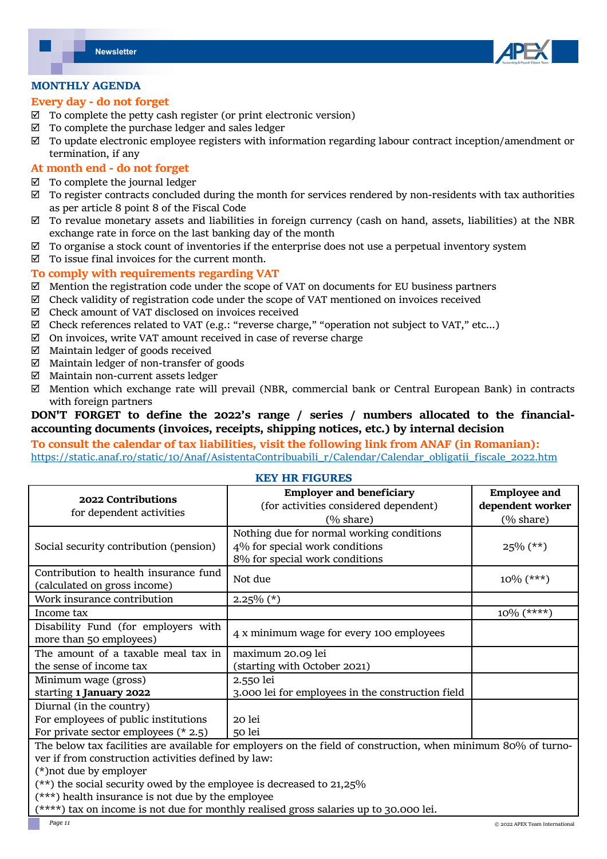

#### **MONTHLY AGENDA**

#### **Every day ‐ do not forget**

- $\boxtimes$  To complete the petty cash register (or print electronic version)
- $\boxtimes$  To complete the purchase ledger and sales ledger
- $\boxtimes$  To update electronic employee registers with information regarding labour contract inception/amendment or termination, if any

#### **At month end ‐ do not forget**

- $\boxtimes$  To complete the journal ledger
- $\boxtimes$  To register contracts concluded during the month for services rendered by non-residents with tax authorities as per article 8 point 8 of the Fiscal Code
- $\boxtimes$  To revalue monetary assets and liabilities in foreign currency (cash on hand, assets, liabilities) at the NBR exchange rate in force on the last banking day of the month
- $\boxtimes$  To organise a stock count of inventories if the enterprise does not use a perpetual inventory system
- $\boxtimes$  To issue final invoices for the current month.

#### **To comply with requirements regarding VAT**

- $\boxtimes$  Mention the registration code under the scope of VAT on documents for EU business partners
- $\boxtimes$  Check validity of registration code under the scope of VAT mentioned on invoices received
- $\boxtimes$  Check amount of VAT disclosed on invoices received
- $\boxtimes$  Check references related to VAT (e.g.: "reverse charge," "operation not subject to VAT," etc...)
- $\boxtimes$  On invoices, write VAT amount received in case of reverse charge
- $\boxtimes$  Maintain ledger of goods received
- $\boxtimes$  Maintain ledger of non-transfer of goods
- $\boxtimes$  Maintain non-current assets ledger
- $\boxtimes$  Mention which exchange rate will prevail (NBR, commercial bank or Central European Bank) in contracts with foreign partners

#### **DON'T FORGET to define the 2022's range / series / numbers allocated to the financial‐ accounting documents (invoices, receipts, shipping notices, etc.) by internal decision**

#### **To consult the calendar of tax liabilities, visit the following link from ANAF (in Romanian):**  https://static.anaf.ro/static/10/Anaf/AsistentaContribuabili\_r/Calendar/Calendar\_obligatii\_fiscale\_2022.htm

#### **KEY HR FIGURES**

| 2022 Contributions<br>for dependent activities                                                                | <b>Employer and beneficiary</b>                   | <b>Employee and</b>  |  |
|---------------------------------------------------------------------------------------------------------------|---------------------------------------------------|----------------------|--|
|                                                                                                               | (for activities considered dependent)             | dependent worker     |  |
|                                                                                                               | $(\% \text{ share})$                              | $(\% \text{ share})$ |  |
| Social security contribution (pension)                                                                        | Nothing due for normal working conditions         |                      |  |
|                                                                                                               | 4% for special work conditions                    | $25\%$ (**)          |  |
|                                                                                                               | 8% for special work conditions                    |                      |  |
| Contribution to health insurance fund                                                                         | Not due                                           | $10\%$ (***)         |  |
| (calculated on gross income)                                                                                  |                                                   |                      |  |
| Work insurance contribution                                                                                   | $2.25\%$ (*)                                      |                      |  |
| Income tax                                                                                                    |                                                   | $10\%$ (****)        |  |
| Disability Fund (for employers with                                                                           | 4 x minimum wage for every 100 employees          |                      |  |
| more than 50 employees)                                                                                       |                                                   |                      |  |
| The amount of a taxable meal tax in                                                                           | maximum 20.09 lei                                 |                      |  |
| the sense of income tax                                                                                       | (starting with October 2021)                      |                      |  |
| Minimum wage (gross)                                                                                          | 2.550 lei                                         |                      |  |
| starting 1 January 2022                                                                                       | 3.000 lei for employees in the construction field |                      |  |
| Diurnal (in the country)                                                                                      |                                                   |                      |  |
| For employees of public institutions                                                                          | 20 lei                                            |                      |  |
| For private sector employees $(* 2.5)$                                                                        | 50 lei                                            |                      |  |
| The below tax facilities are available for employers on the field of construction, when minimum 80% of turno- |                                                   |                      |  |
| ver if from construction activities defined by law:                                                           |                                                   |                      |  |
| (*) not due by employer                                                                                       |                                                   |                      |  |
| $(**)$ the social security owed by the employee is decreased to 21,25%                                        |                                                   |                      |  |
| (***) health insurance is not due by the employee                                                             |                                                   |                      |  |
| (****) tax on income is not due for monthly realised gross salaries up to 30.000 lei.                         |                                                   |                      |  |